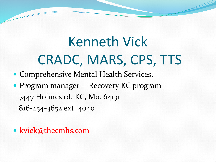# Kenneth Vick CRADC, MARS, CPS, TTS

- Comprehensive Mental Health Services,
- Program manager -- Recovery KC program 7447 Holmes rd. KC, Mo. 64131 816-254-3652 ext. 4040
- kvick@thecmhs.com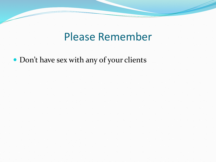#### Please Remember

Don't have sex with any of your clients

 $\overline{\phantom{a}}$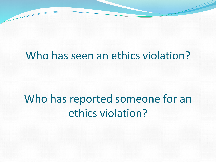#### Who has seen an ethics violation?

## Who has reported someone for an ethics violation?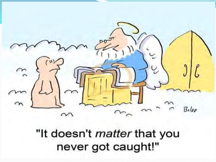

"It doesn't matter that you never got caught!"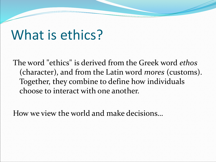## What is ethics?

The word "ethics" is derived from the Greek word *ethos* (character), and from the Latin word *mores* (customs). Together, they combine to define how individuals choose to interact with one another.

How we view the world and make decisions…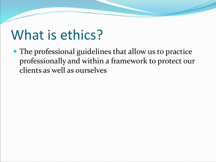## What is ethics?

 The professional guidelines that allow us to practice professionally and within a framework to protect our clients as well as ourselves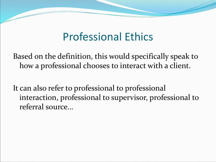#### Professional Ethics

Based on the definition, this would specifically speak to how a professional chooses to interact with a client.

It can also refer to professional to professional interaction, professional to supervisor, professional to referral source…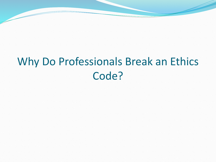### Why Do Professionals Break an Ethics Code?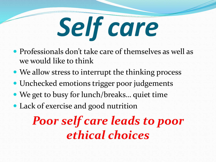

- Professionals don't take care of themselves as well as we would like to think
- We allow stress to interrupt the thinking process
- Unchecked emotions trigger poor judgements
- We get to busy for lunch/breaks… quiet time
- Lack of exercise and good nutrition

*Poor self care leads to poor ethical choices*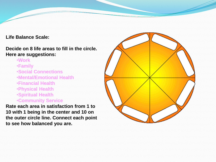**Life Balance Scale:** 

**Decide on 8 life areas to fill in the circle. Here are suggestions:**

- •**Work**
- •**Family**
- •**Social Connections**
- •**Mental/Emotional Health**
- •**Financial Health**
- •**Physical Health**
- •**Spiritual Health**
- •**Community Service**

**Rate each area in satisfaction from 1 to 10 with 1 being in the center and 10 on the outer circle line. Connect each point to see how balanced you are.** 

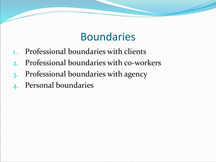#### Boundaries

- 1. Professional boundaries with clients
- 2. Professional boundaries with co-workers
- 3. Professional boundaries with agency
- 4. Personal boundaries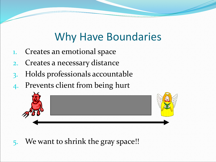### Why Have Boundaries

- 1. Creates an emotional space
- 2. Creates a necessary distance
- 3. Holds professionals accountable
- 4. Prevents client from being hurt



5. We want to shrink the gray space!!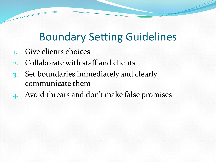### Boundary Setting Guidelines

- 1. Give clients choices
- 2. Collaborate with staff and clients
- 3. Set boundaries immediately and clearly communicate them
- 4. Avoid threats and don't make false promises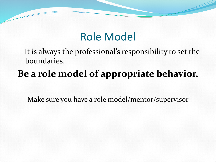#### Role Model

It is always the professional's responsibility to set the boundaries.

### **Be a role model of appropriate behavior.**

Make sure you have a role model/mentor/supervisor